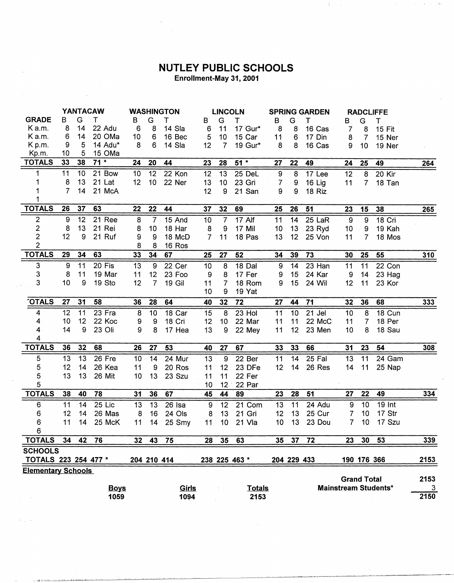## **NUTLEY PUBLIC SCHOOLS**<br>Enrollment-May 31, 2001

|                           | <b>YANTACAW</b>  |    |             | <b>WASHINGTON</b> |                  |              | <b>LINCOLN</b> |                 |                   | <b>SPRING GARDEN</b>                              |             |        | <b>RADCLIFFE</b> |                |             |      |
|---------------------------|------------------|----|-------------|-------------------|------------------|--------------|----------------|-----------------|-------------------|---------------------------------------------------|-------------|--------|------------------|----------------|-------------|------|
| <b>GRADE</b>              | в                | G  | т           | в                 | G                | т            | в              | G               | Τ                 | в                                                 | G           | т      | В                | G              | Т           |      |
| K a.m.                    | 8                | 14 | 22 Adu      | 6                 | 8                | 14 Sla       | 6              | 11              | 17 Gur*           | 8                                                 | 8           | 16 Cas | 7                | 8              | 15 Fit      |      |
| K a.m.                    | 6                | 14 | 20 OMa      | 10                | 6                | 16 Bec       | 5              | 10 <sub>1</sub> | 15 Car            | 11                                                | 6           | 17 Din | 8                | $\overline{7}$ | 15 Ner      |      |
| K p.m.                    | 9                | 5  | 14 Adu*     | 8                 | 6                | 14 Sla       | 12             | $\overline{7}$  | 19 Gur*           | 8                                                 | 8           | 16 Cas | 9                | 10             | 19 Ner      |      |
| Kp.m.                     | 10               | 5  | 15 OMa      |                   |                  |              |                |                 |                   |                                                   |             |        |                  |                |             |      |
| <b>TOTALS</b>             | 33               | 38 | $71*$       | 24                | 20               | 44           | 23             | 28              | $51*$             | 27                                                | 22          | 49     | 24               | 25             | 49          | 264  |
| 1                         | 11               | 10 | 21 Bow      | 10                | 12               | 22 Kon       | 12             | 13              | 25 DeL            | 9                                                 | 8           | 17 Lee | 12               | 8              | 20 Kir      |      |
|                           | 8                | 13 | 21 Lat      | 12                | 10               | 22 Ner       | 13             | 10              | 23 Gri            | 7                                                 | 9           | 16 Lig | 11               | $\overline{7}$ | 18 Tan      |      |
|                           | 7                | 14 | 21 McA      |                   |                  |              | 12             | 9               | 21 San            | 9                                                 | 9           | 18 Riz |                  |                |             |      |
|                           |                  |    |             |                   |                  |              |                |                 |                   |                                                   |             |        |                  |                |             |      |
| <b>TOTALS</b>             | 26               | 37 | 63          | 22                | 22               | 44           | 37             | 32              | 69                | 25                                                | 26          | 51     | 23               | 15             | 38          | 265  |
| 2                         | $\boldsymbol{9}$ | 12 | 21 Ree      | 8                 | $\overline{7}$   | 15 And       | 10             | $\overline{7}$  | 17 Alf            | 11                                                | 14          | 25 LaR | 9                | 9              | 18 Cri      |      |
| $\overline{c}$            | 8                | 13 | 21 Rei      | 8                 | 10               | 18 Har       | 8              | 9               | 17 Mil            | 10                                                | 13          | 23 Ryd | 10 <sub>1</sub>  | 9              | 19 Kah      |      |
| $\overline{c}$            | 12               | 9  | 21 Ruf      | 9                 | 9                | 18 McD       | $\overline{7}$ | 11              | 18 Pas            | 13                                                | 12          | 25 Von | 11               | $\overline{7}$ | 18 Mos      |      |
| $\overline{2}$            |                  |    |             | 8                 | 8                | 16 Ros       |                |                 |                   |                                                   |             |        |                  |                |             |      |
| <b>TOTALS</b>             | 29               | 34 | 63          | 33                | 34 <sub>1</sub>  | 67           | 25             | 27              | 52                | 34                                                | 39          | 73     | 30               | 25             | 55          | 310  |
| $\ensuremath{\mathsf{3}}$ | 9                | 11 | 20 Fis      | 13                | $\boldsymbol{9}$ | 22 Cer       | 10             | 8               | 18 Dal            | $\boldsymbol{9}$                                  | 14          | 23 Han | 11               | 11             | 22 Con      |      |
| 3                         | 8                | 11 | 19 Mar      | 11                | 12               | 23 Foo       | 9              | 8               | 17 Fer            | 9                                                 | 15          | 24 Kar | 9                | 14             | 23 Hag      |      |
| 3                         | 10               | 9  | 19 Sto      | 12                | $\overline{7}$   | 19 Gil       | 11             | $\overline{7}$  | 18 Rom            | 9                                                 | 15          | 24 Wil | 12               | 11             | 23 Kor      |      |
|                           |                  |    |             |                   |                  |              | 10             | 9               | 19 Yat            |                                                   |             |        |                  |                |             |      |
| <b>TOTALS</b>             | 27               | 31 | 58          | 36                | 28               | 64           | 40             | 32              | 72                | 27                                                | 44          | 71     | 32               | 36             | 68          | 333  |
| 4                         | 12               | 11 | 23 Fra      | 8                 | 10               | 18 Car       | 15             | 8               | 23 Hol            | 11                                                | 10          | 21 Jel | 10               | 8              | 18 Cun      |      |
| 4                         | 10               | 12 | 22 Koc      | 9                 | 9                | 18 Cri       | 12             | 10              | 22 Mar            | 11                                                | 11          | 22 McC | 11               | $\overline{7}$ | 18 Per      |      |
| 4                         | 14               | 9  | 23 Oli      | 9                 | 8                | 17 Hea       | 13             | 9               | 22 Mey            | 11                                                | 12          | 23 Men | 10               | 8              | 18 Sau      |      |
| 4                         |                  |    |             |                   |                  |              |                |                 |                   |                                                   |             |        |                  |                |             |      |
| <b>TOTALS</b>             | 36               | 32 | 68          | 26                | 27               | 53           | 40             | 27              | 67                | 33                                                | 33          | 66     | 31               | 23             | 54          | 308  |
| 5                         | 13               | 13 | 26 Fre      | 10                | 14               | 24 Mur       | 13             | 9               | 22 <sub>ber</sub> | 11                                                | 14          | 25 Fal | 13               | 11             | 24 Gam      |      |
| 5                         | 12               | 14 | 26 Kea      | 11                | 9                | 20 Ros       | 11             | 12              | 23 DFe            | 12                                                | 14          | 26 Res | 14               | 11             | 25 Nap      |      |
| 5                         | 13               | 13 | 26 Mit      | 10                | 13               | 23 Szu       | 11             | 11 <sup>°</sup> | 22 Fer            |                                                   |             |        |                  |                |             |      |
| 5                         |                  |    |             |                   |                  |              | 10             | $12 -$          | 22 Par            |                                                   |             |        |                  |                |             |      |
| <b>TOTALS</b>             | 38               | 40 | 78          | 31                | 36               | 67           | 45             | 44              | 89                | 23                                                | 28          | 51     | 27               | 22             | 49          | 334  |
| 6                         | 11               | 14 | 25 Lic      | 13                | 13               | $26$ Isa     | 9              | 12              | 21 Com            | 13                                                | 11          | 24 Adu | 9                | 10             | 19 Int      |      |
| 6                         | 12               | 14 | 26 Mas      | 8                 | 16               | 24 Ols       | 8              | 13              | 21 Gri            | 12                                                | 13          | 25 Cur | 7                | 10             | 17 Str      |      |
| 6                         | 11               | 14 | 25 McK      | 11                |                  | 14 25 Smy    | 11             | 10              | 21 Vla            | 10 <sup>1</sup>                                   | 13          | 23 Dou | 7                | 10.            | 17 Szu      |      |
| 6                         |                  |    |             |                   |                  |              |                |                 |                   |                                                   |             |        |                  |                |             |      |
| <b>TOTALS</b>             | 34               | 42 | 76          | $32\phantom{a}$   | 43               | 75           | 28             | 35              | 63                | 35                                                | 37          | 72     | 23               | 30             | 53          | 339  |
| <b>SCHOOLS</b>            |                  |    |             |                   |                  |              |                |                 |                   |                                                   |             |        |                  |                |             |      |
| TOTALS 223 254 477 *      |                  |    |             |                   | 204 210 414      |              |                |                 | 238 225 463 *     |                                                   | 204 229 433 |        |                  |                | 190 176 366 | 2153 |
| <b>Elementary Schools</b> |                  |    |             |                   |                  |              |                |                 |                   |                                                   |             |        |                  |                |             | 2153 |
|                           |                  |    |             |                   |                  |              |                |                 |                   | <b>Grand Total</b><br><b>Mainstream Students*</b> |             |        |                  |                |             |      |
|                           |                  |    | <b>Boys</b> |                   |                  | <u>Girls</u> |                |                 | <b>Totals</b>     |                                                   |             |        |                  |                |             | 3    |
|                           |                  |    | 1059        |                   |                  | 1094         |                |                 | 2153              |                                                   |             |        |                  |                |             | 2150 |